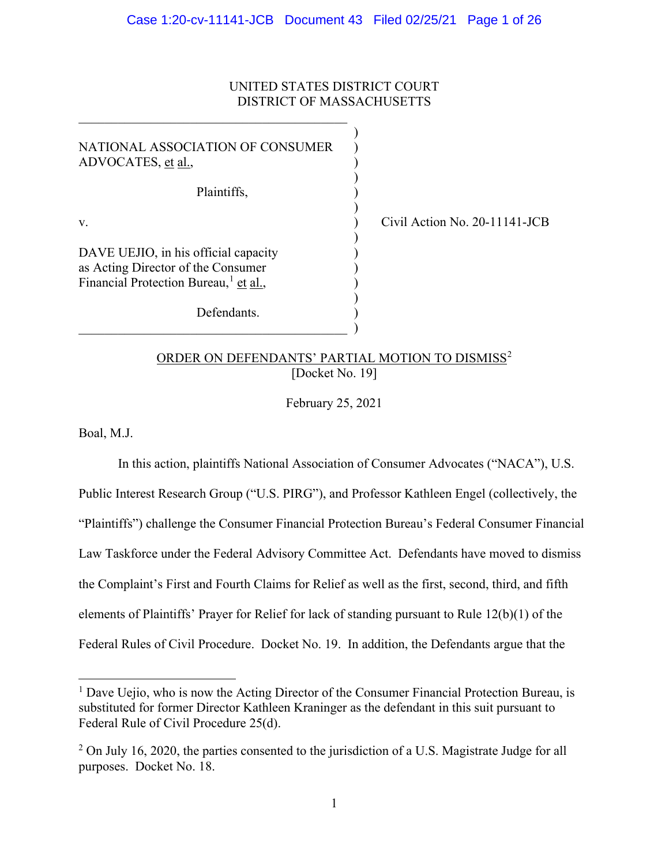## UNITED STATES DISTRICT COURT DISTRICT OF MASSACHUSETTS

)

| NATIONAL ASSOCIATION OF CONSUMER<br>ADVOCATES, et al.,                                                                          |  |
|---------------------------------------------------------------------------------------------------------------------------------|--|
| Plaintiffs,                                                                                                                     |  |
| V.                                                                                                                              |  |
| DAVE UEJIO, in his official capacity<br>as Acting Director of the Consumer<br>Financial Protection Bureau, <sup>1</sup> et al., |  |
| Defendants.                                                                                                                     |  |

 $\qquad \qquad \qquad .$ 

 $\vert$  Civil Action No. 20-11141-JCB

# ORDER ON DEFENDANTS' PARTIAL MOTION TO DISMISS<sup>[2](#page-0-1)</sup> [Docket No. 19]

February 25, 2021

Boal, M.J.

In this action, plaintiffs National Association of Consumer Advocates ("NACA"), U.S. Public Interest Research Group ("U.S. PIRG"), and Professor Kathleen Engel (collectively, the "Plaintiffs") challenge the Consumer Financial Protection Bureau's Federal Consumer Financial Law Taskforce under the Federal Advisory Committee Act. Defendants have moved to dismiss the Complaint's First and Fourth Claims for Relief as well as the first, second, third, and fifth elements of Plaintiffs' Prayer for Relief for lack of standing pursuant to Rule 12(b)(1) of the Federal Rules of Civil Procedure. Docket No. 19. In addition, the Defendants argue that the

<span id="page-0-0"></span> $<sup>1</sup>$  Dave Uejio, who is now the Acting Director of the Consumer Financial Protection Bureau, is</sup> substituted for former Director Kathleen Kraninger as the defendant in this suit pursuant to Federal Rule of Civil Procedure 25(d).

<span id="page-0-1"></span> $2$  On July 16, 2020, the parties consented to the jurisdiction of a U.S. Magistrate Judge for all purposes. Docket No. 18.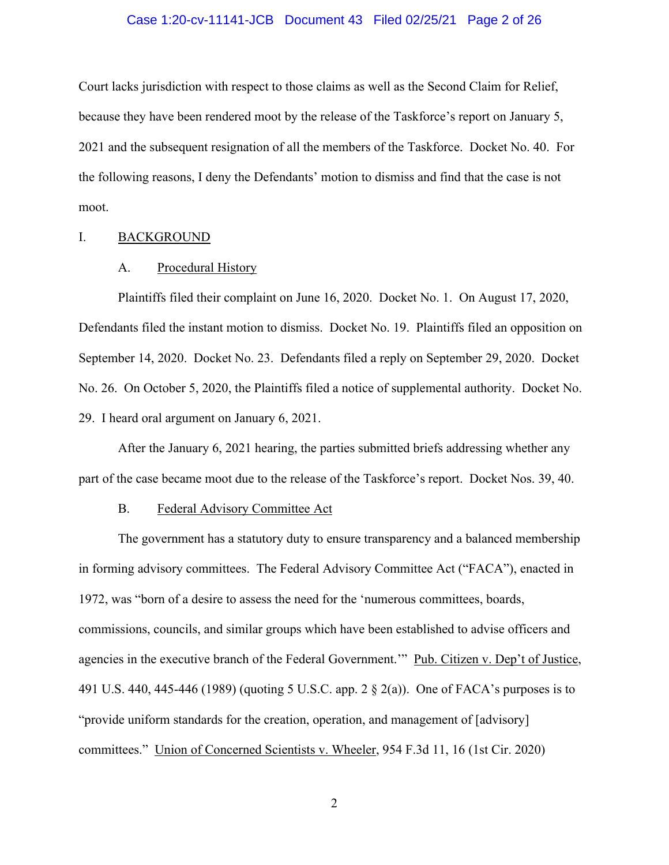#### Case 1:20-cv-11141-JCB Document 43 Filed 02/25/21 Page 2 of 26

Court lacks jurisdiction with respect to those claims as well as the Second Claim for Relief, because they have been rendered moot by the release of the Taskforce's report on January 5, 2021 and the subsequent resignation of all the members of the Taskforce. Docket No. 40. For the following reasons, I deny the Defendants' motion to dismiss and find that the case is not moot.

### I. BACKGROUND

#### A. Procedural History

Plaintiffs filed their complaint on June 16, 2020. Docket No. 1. On August 17, 2020, Defendants filed the instant motion to dismiss. Docket No. 19. Plaintiffs filed an opposition on September 14, 2020. Docket No. 23. Defendants filed a reply on September 29, 2020. Docket No. 26. On October 5, 2020, the Plaintiffs filed a notice of supplemental authority. Docket No. 29. I heard oral argument on January 6, 2021.

After the January 6, 2021 hearing, the parties submitted briefs addressing whether any part of the case became moot due to the release of the Taskforce's report. Docket Nos. 39, 40.

#### B. Federal Advisory Committee Act

The government has a statutory duty to ensure transparency and a balanced membership in forming advisory committees. The Federal Advisory Committee Act ("FACA"), enacted in 1972, was "born of a desire to assess the need for the 'numerous committees, boards, commissions, councils, and similar groups which have been established to advise officers and agencies in the executive branch of the Federal Government." Pub. Citizen v. Dep't of Justice, 491 U.S. 440, 445-446 (1989) (quoting 5 U.S.C. app. 2 § 2(a)). One of FACA's purposes is to "provide uniform standards for the creation, operation, and management of [advisory] committees." Union of Concerned Scientists v. Wheeler, 954 F.3d 11, 16 (1st Cir. 2020)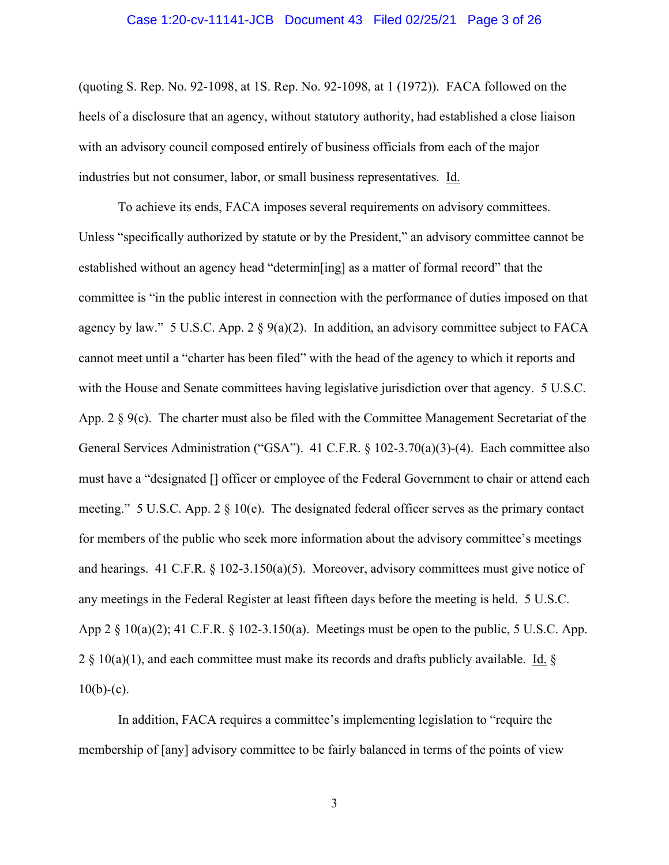#### Case 1:20-cv-11141-JCB Document 43 Filed 02/25/21 Page 3 of 26

(quoting S. Rep. No. 92-1098, at 1S. Rep. No. 92-1098, at 1 (1972)). FACA followed on the heels of a disclosure that an agency, without statutory authority, had established a close liaison with an advisory council composed entirely of business officials from each of the major industries but not consumer, labor, or small business representatives. Id.

To achieve its ends, FACA imposes several requirements on advisory committees. Unless "specifically authorized by statute or by the President," an advisory committee cannot be established without an agency head "determin[ing] as a matter of formal record" that the committee is "in the public interest in connection with the performance of duties imposed on that agency by law." 5 U.S.C. App. 2  $\S$  9(a)(2). In addition, an advisory committee subject to FACA cannot meet until a "charter has been filed" with the head of the agency to which it reports and with the House and Senate committees having legislative jurisdiction over that agency. 5 U.S.C. App.  $2 \, \text{S}$  9(c). The charter must also be filed with the Committee Management Secretariat of the General Services Administration ("GSA"). 41 C.F.R. § 102-3.70(a)(3)-(4). Each committee also must have a "designated [] officer or employee of the Federal Government to chair or attend each meeting." 5 U.S.C. App. 2 § 10(e). The designated federal officer serves as the primary contact for members of the public who seek more information about the advisory committee's meetings and hearings. 41 C.F.R.  $\S$  102-3.150(a)(5). Moreover, advisory committees must give notice of any meetings in the Federal Register at least fifteen days before the meeting is held. 5 U.S.C. App  $2 \n§ 10(a)(2); 41 C.F.R. § 102-3.150(a).$  Meetings must be open to the public, 5 U.S.C. App.  $2 \frac{10(a)(1)}{10(a)}$ , and each committee must make its records and drafts publicly available. Id. §  $10(b)-(c)$ .

In addition, FACA requires a committee's implementing legislation to "require the membership of [any] advisory committee to be fairly balanced in terms of the points of view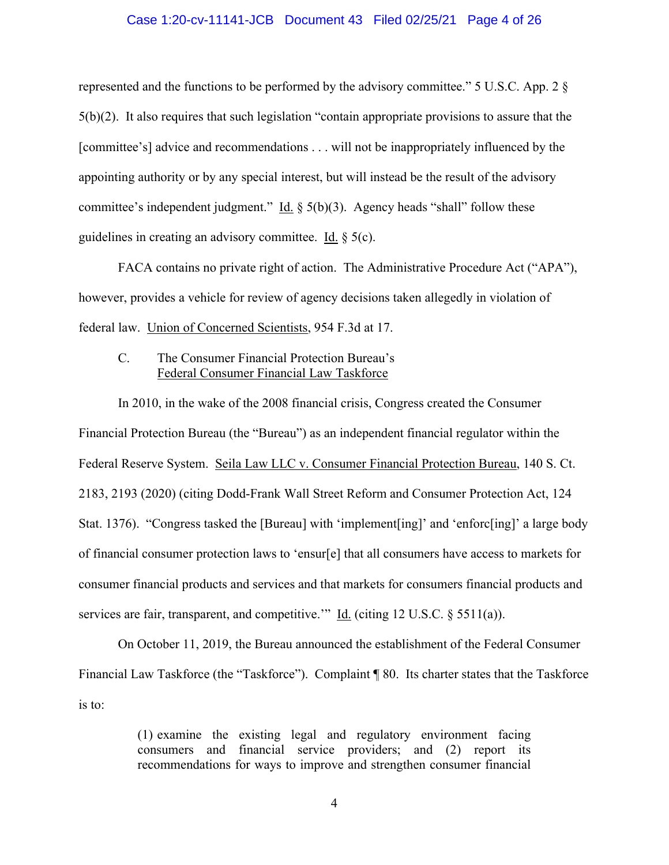### Case 1:20-cv-11141-JCB Document 43 Filed 02/25/21 Page 4 of 26

represented and the functions to be performed by the advisory committee." 5 U.S.C. App. 2 § 5(b)(2). It also requires that such legislation "contain appropriate provisions to assure that the [committee's] advice and recommendations . . . will not be inappropriately influenced by the appointing authority or by any special interest, but will instead be the result of the advisory committee's independent judgment." Id.  $\S$  5(b)(3). Agency heads "shall" follow these guidelines in creating an advisory committee. Id. § 5(c).

FACA contains no private right of action. The Administrative Procedure Act ("APA"), however, provides a vehicle for review of agency decisions taken allegedly in violation of federal law. Union of Concerned Scientists, 954 F.3d at 17.

# C. The Consumer Financial Protection Bureau's Federal Consumer Financial Law Taskforce

In 2010, in the wake of the 2008 financial crisis, Congress created the Consumer Financial Protection Bureau (the "Bureau") as an independent financial regulator within the Federal Reserve System. Seila Law LLC v. Consumer Financial Protection Bureau, 140 S. Ct. 2183, 2193 (2020) (citing Dodd-Frank Wall Street Reform and Consumer Protection Act, 124 Stat. 1376). "Congress tasked the [Bureau] with 'implement[ing]' and 'enforc[ing]' a large body of financial consumer protection laws to 'ensur[e] that all consumers have access to markets for consumer financial products and services and that markets for consumers financial products and services are fair, transparent, and competitive." Id. (citing 12 U.S.C.  $\S$  5511(a)).

On October 11, 2019, the Bureau announced the establishment of the Federal Consumer Financial Law Taskforce (the "Taskforce"). Complaint ¶ 80. Its charter states that the Taskforce is to:

> (1) examine the existing legal and regulatory environment facing consumers and financial service providers; and (2) report its recommendations for ways to improve and strengthen consumer financial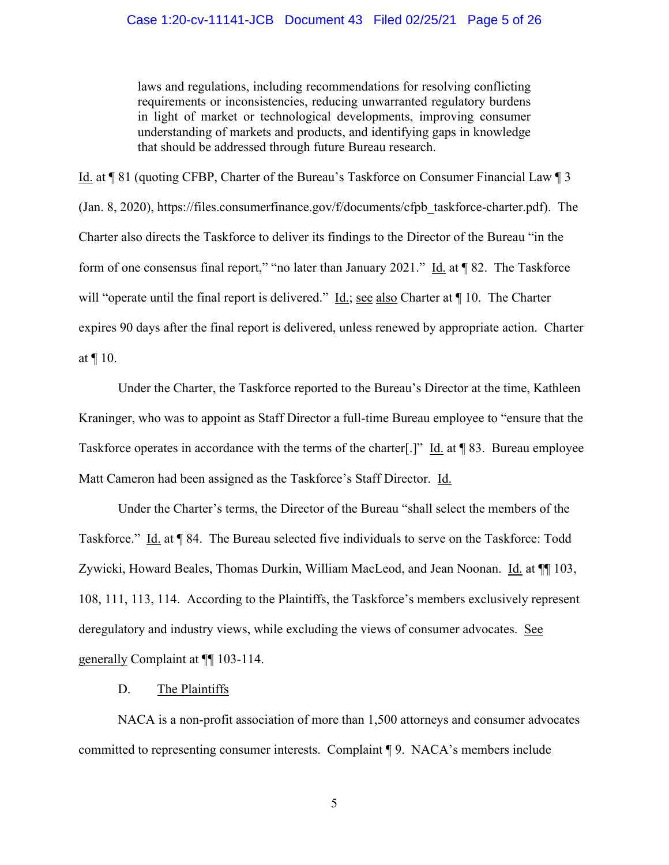laws and regulations, including recommendations for resolving conflicting requirements or inconsistencies, reducing unwarranted regulatory burdens in light of market or technological developments, improving consumer understanding of markets and products, and identifying gaps in knowledge that should be addressed through future Bureau research.

Id. at ¶ 81 (quoting CFBP, Charter of the Bureau's Taskforce on Consumer Financial Law ¶ 3 (Jan. 8, 2020), [https://files.consumerfinance.gov/f/documents/cfpb\\_taskforce-charter.pdf\)](https://files.consumerfinance.gov/f/documents/cfpb_taskforce-charter.pdf). The Charter also directs the Taskforce to deliver its findings to the Director of the Bureau "in the form of one consensus final report," "no later than January 2021." Id. at  $\P$  82. The Taskforce will "operate until the final report is delivered." <u>Id.; see also</u> Charter at  $\P$  10. The Charter expires 90 days after the final report is delivered, unless renewed by appropriate action. Charter at ¶ 10.

Under the Charter, the Taskforce reported to the Bureau's Director at the time, Kathleen Kraninger, who was to appoint as Staff Director a full-time Bureau employee to "ensure that the Taskforce operates in accordance with the terms of the charter[.]" Id. at ¶ 83. Bureau employee Matt Cameron had been assigned as the Taskforce's Staff Director. Id.

Under the Charter's terms, the Director of the Bureau "shall select the members of the Taskforce." Id. at ¶ 84. The Bureau selected five individuals to serve on the Taskforce: Todd Zywicki, Howard Beales, Thomas Durkin, William MacLeod, and Jean Noonan. Id. at  $\P$  103, 108, 111, 113, 114. According to the Plaintiffs, the Taskforce's members exclusively represent deregulatory and industry views, while excluding the views of consumer advocates. See generally Complaint at ¶¶ 103-114.

#### D. The Plaintiffs

NACA is a non-profit association of more than 1,500 attorneys and consumer advocates committed to representing consumer interests. Complaint ¶ 9. NACA's members include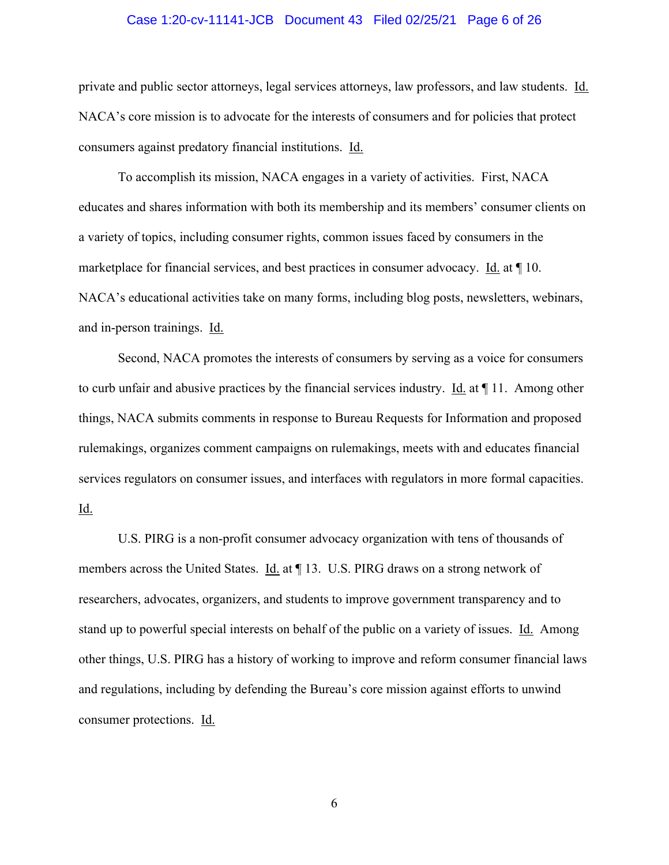#### Case 1:20-cv-11141-JCB Document 43 Filed 02/25/21 Page 6 of 26

private and public sector attorneys, legal services attorneys, law professors, and law students. Id. NACA's core mission is to advocate for the interests of consumers and for policies that protect consumers against predatory financial institutions. Id.

To accomplish its mission, NACA engages in a variety of activities. First, NACA educates and shares information with both its membership and its members' consumer clients on a variety of topics, including consumer rights, common issues faced by consumers in the marketplace for financial services, and best practices in consumer advocacy. Id. at ¶ 10. NACA's educational activities take on many forms, including blog posts, newsletters, webinars, and in-person trainings. Id.

Second, NACA promotes the interests of consumers by serving as a voice for consumers to curb unfair and abusive practices by the financial services industry. Id. at  $\P$  11. Among other things, NACA submits comments in response to Bureau Requests for Information and proposed rulemakings, organizes comment campaigns on rulemakings, meets with and educates financial services regulators on consumer issues, and interfaces with regulators in more formal capacities. <u>Id.</u>

U.S. PIRG is a non-profit consumer advocacy organization with tens of thousands of members across the United States. Id. at  $\P$  13. U.S. PIRG draws on a strong network of researchers, advocates, organizers, and students to improve government transparency and to stand up to powerful special interests on behalf of the public on a variety of issues. Id. Among other things, U.S. PIRG has a history of working to improve and reform consumer financial laws and regulations, including by defending the Bureau's core mission against efforts to unwind consumer protections. Id.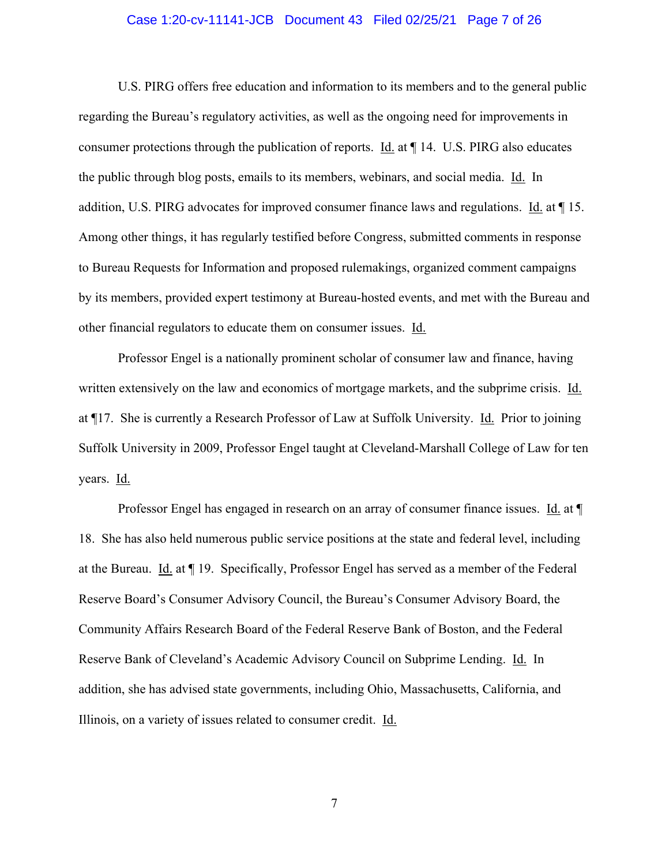#### Case 1:20-cv-11141-JCB Document 43 Filed 02/25/21 Page 7 of 26

U.S. PIRG offers free education and information to its members and to the general public regarding the Bureau's regulatory activities, as well as the ongoing need for improvements in consumer protections through the publication of reports. Id. at ¶ 14. U.S. PIRG also educates the public through blog posts, emails to its members, webinars, and social media. Id. In addition, U.S. PIRG advocates for improved consumer finance laws and regulations. Id. at ¶ 15. Among other things, it has regularly testified before Congress, submitted comments in response to Bureau Requests for Information and proposed rulemakings, organized comment campaigns by its members, provided expert testimony at Bureau-hosted events, and met with the Bureau and other financial regulators to educate them on consumer issues. Id.

Professor Engel is a nationally prominent scholar of consumer law and finance, having written extensively on the law and economics of mortgage markets, and the subprime crisis. Id. at ¶17. She is currently a Research Professor of Law at Suffolk University. Id. Prior to joining Suffolk University in 2009, Professor Engel taught at Cleveland-Marshall College of Law for ten years. Id.

Professor Engel has engaged in research on an array of consumer finance issues. Id. at  $\P$ 18. She has also held numerous public service positions at the state and federal level, including at the Bureau. Id. at ¶ 19. Specifically, Professor Engel has served as a member of the Federal Reserve Board's Consumer Advisory Council, the Bureau's Consumer Advisory Board, the Community Affairs Research Board of the Federal Reserve Bank of Boston, and the Federal Reserve Bank of Cleveland's Academic Advisory Council on Subprime Lending. Id. In addition, she has advised state governments, including Ohio, Massachusetts, California, and Illinois, on a variety of issues related to consumer credit. Id.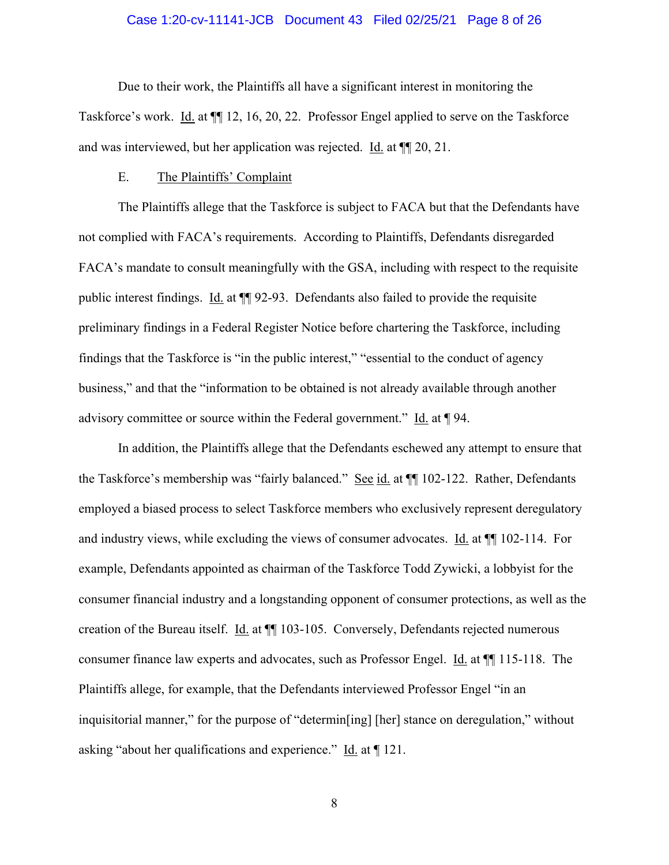#### Case 1:20-cv-11141-JCB Document 43 Filed 02/25/21 Page 8 of 26

Due to their work, the Plaintiffs all have a significant interest in monitoring the Taskforce's work. Id. at ¶¶ 12, 16, 20, 22. Professor Engel applied to serve on the Taskforce and was interviewed, but her application was rejected. Id. at ¶¶ 20, 21.

#### E. The Plaintiffs' Complaint

The Plaintiffs allege that the Taskforce is subject to FACA but that the Defendants have not complied with FACA's requirements. According to Plaintiffs, Defendants disregarded FACA's mandate to consult meaningfully with the GSA, including with respect to the requisite public interest findings. Id. at ¶¶ 92-93. Defendants also failed to provide the requisite preliminary findings in a Federal Register Notice before chartering the Taskforce, including findings that the Taskforce is "in the public interest," "essential to the conduct of agency business," and that the "information to be obtained is not already available through another advisory committee or source within the Federal government." Id. at ¶ 94.

In addition, the Plaintiffs allege that the Defendants eschewed any attempt to ensure that the Taskforce's membership was "fairly balanced." See id. at  $\P$  102-122. Rather, Defendants employed a biased process to select Taskforce members who exclusively represent deregulatory and industry views, while excluding the views of consumer advocates. Id. at ¶¶ 102-114. For example, Defendants appointed as chairman of the Taskforce Todd Zywicki, a lobbyist for the consumer financial industry and a longstanding opponent of consumer protections, as well as the creation of the Bureau itself. Id. at ¶¶ 103-105. Conversely, Defendants rejected numerous consumer finance law experts and advocates, such as Professor Engel. Id. at ¶¶ 115-118. The Plaintiffs allege, for example, that the Defendants interviewed Professor Engel "in an inquisitorial manner," for the purpose of "determin[ing] [her] stance on deregulation," without asking "about her qualifications and experience." Id. at ¶ 121.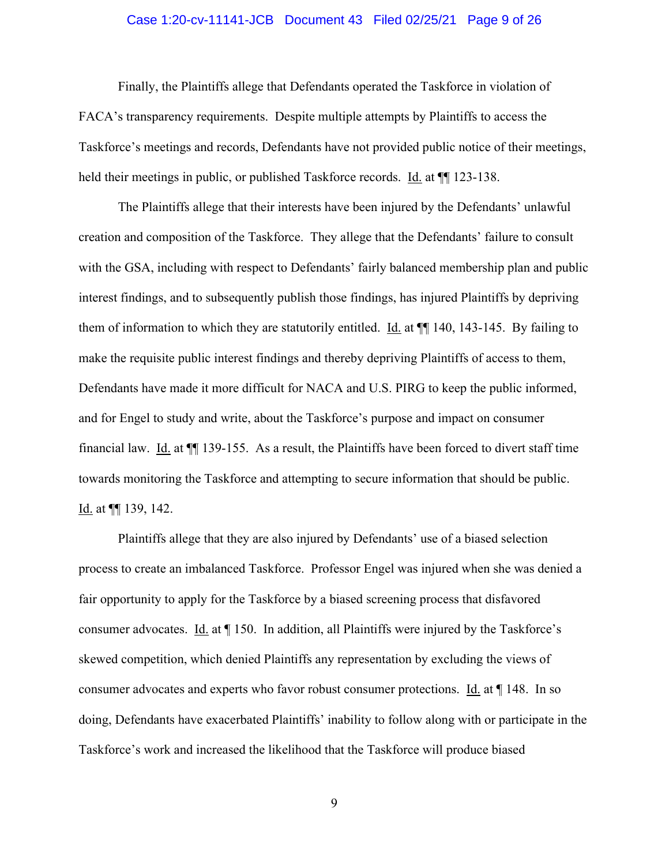#### Case 1:20-cv-11141-JCB Document 43 Filed 02/25/21 Page 9 of 26

Finally, the Plaintiffs allege that Defendants operated the Taskforce in violation of FACA's transparency requirements. Despite multiple attempts by Plaintiffs to access the Taskforce's meetings and records, Defendants have not provided public notice of their meetings, held their meetings in public, or published Taskforce records. Id. at  $\P$  123-138.

The Plaintiffs allege that their interests have been injured by the Defendants' unlawful creation and composition of the Taskforce. They allege that the Defendants' failure to consult with the GSA, including with respect to Defendants' fairly balanced membership plan and public interest findings, and to subsequently publish those findings, has injured Plaintiffs by depriving them of information to which they are statutorily entitled. Id. at ¶¶ 140, 143-145. By failing to make the requisite public interest findings and thereby depriving Plaintiffs of access to them, Defendants have made it more difficult for NACA and U.S. PIRG to keep the public informed, and for Engel to study and write, about the Taskforce's purpose and impact on consumer financial law. Id. at ¶¶ 139-155. As a result, the Plaintiffs have been forced to divert staff time towards monitoring the Taskforce and attempting to secure information that should be public. Id. at ¶¶ 139, 142.

Plaintiffs allege that they are also injured by Defendants' use of a biased selection process to create an imbalanced Taskforce. Professor Engel was injured when she was denied a fair opportunity to apply for the Taskforce by a biased screening process that disfavored consumer advocates. Id. at ¶ 150. In addition, all Plaintiffs were injured by the Taskforce's skewed competition, which denied Plaintiffs any representation by excluding the views of consumer advocates and experts who favor robust consumer protections. Id. at ¶ 148. In so doing, Defendants have exacerbated Plaintiffs' inability to follow along with or participate in the Taskforce's work and increased the likelihood that the Taskforce will produce biased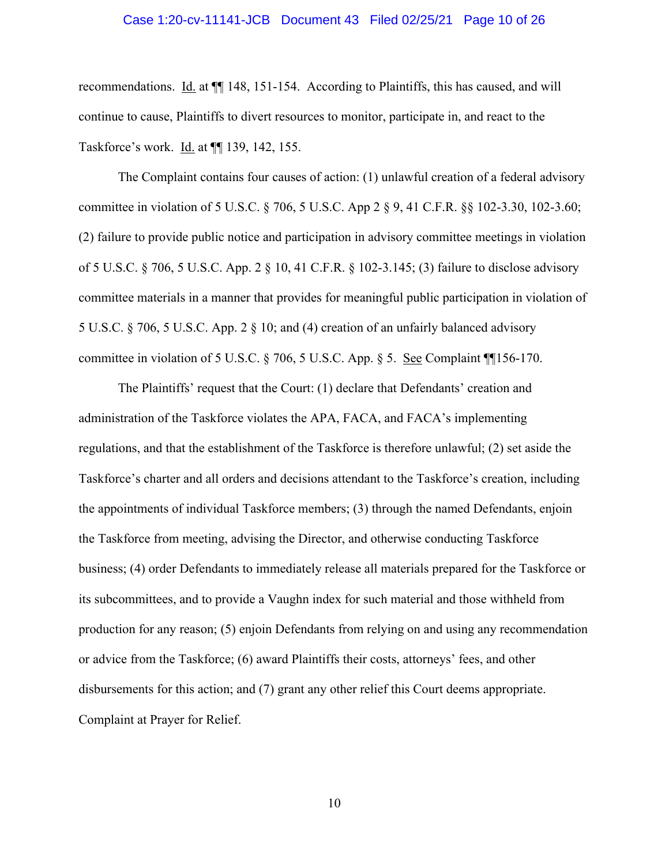#### Case 1:20-cv-11141-JCB Document 43 Filed 02/25/21 Page 10 of 26

recommendations. Id. at  $\P$  148, 151-154. According to Plaintiffs, this has caused, and will continue to cause, Plaintiffs to divert resources to monitor, participate in, and react to the Taskforce's work. Id. at ¶¶ 139, 142, 155.

The Complaint contains four causes of action: (1) unlawful creation of a federal advisory committee in violation of 5 U.S.C. § 706, 5 U.S.C. App 2 § 9, 41 C.F.R. §§ 102-3.30, 102-3.60; (2) failure to provide public notice and participation in advisory committee meetings in violation of 5 U.S.C. § 706, 5 U.S.C. App. 2 § 10, 41 C.F.R. § 102-3.145; (3) failure to disclose advisory committee materials in a manner that provides for meaningful public participation in violation of 5 U.S.C. § 706, 5 U.S.C. App. 2 § 10; and (4) creation of an unfairly balanced advisory committee in violation of 5 U.S.C. § 706, 5 U.S.C. App. § 5. See Complaint ¶¶156-170.

The Plaintiffs' request that the Court: (1) declare that Defendants' creation and administration of the Taskforce violates the APA, FACA, and FACA's implementing regulations, and that the establishment of the Taskforce is therefore unlawful; (2) set aside the Taskforce's charter and all orders and decisions attendant to the Taskforce's creation, including the appointments of individual Taskforce members; (3) through the named Defendants, enjoin the Taskforce from meeting, advising the Director, and otherwise conducting Taskforce business; (4) order Defendants to immediately release all materials prepared for the Taskforce or its subcommittees, and to provide a Vaughn index for such material and those withheld from production for any reason; (5) enjoin Defendants from relying on and using any recommendation or advice from the Taskforce; (6) award Plaintiffs their costs, attorneys' fees, and other disbursements for this action; and (7) grant any other relief this Court deems appropriate. Complaint at Prayer for Relief.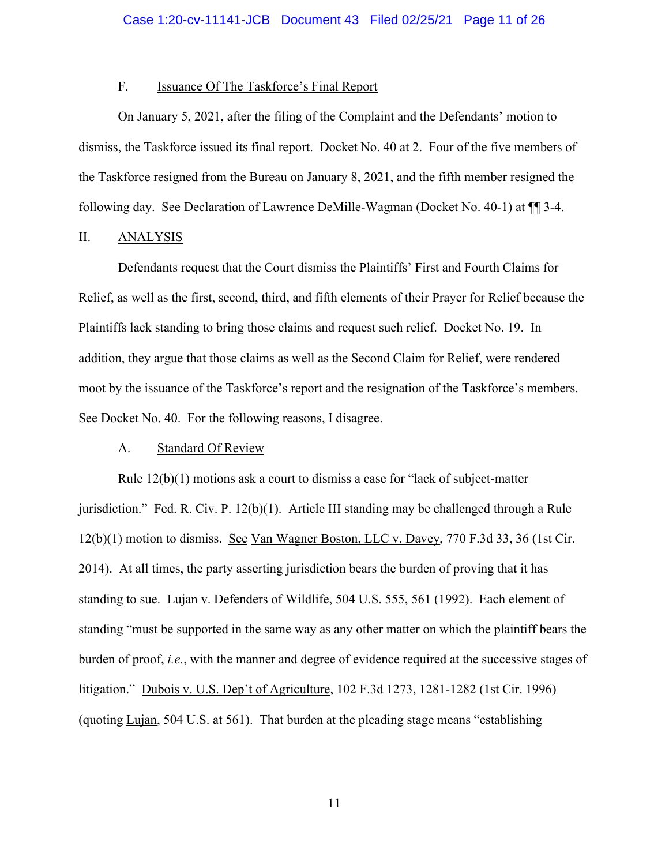## F. **Issuance Of The Taskforce's Final Report**

On January 5, 2021, after the filing of the Complaint and the Defendants' motion to dismiss, the Taskforce issued its final report. Docket No. 40 at 2. Four of the five members of the Taskforce resigned from the Bureau on January 8, 2021, and the fifth member resigned the following day. See Declaration of Lawrence DeMille-Wagman (Docket No. 40-1) at ¶¶ 3-4.

## II. ANALYSIS

Defendants request that the Court dismiss the Plaintiffs' First and Fourth Claims for Relief, as well as the first, second, third, and fifth elements of their Prayer for Relief because the Plaintiffs lack standing to bring those claims and request such relief. Docket No. 19. In addition, they argue that those claims as well as the Second Claim for Relief, were rendered moot by the issuance of the Taskforce's report and the resignation of the Taskforce's members. See Docket No. 40. For the following reasons, I disagree.

#### A. Standard Of Review

Rule  $12(b)(1)$  motions ask a court to dismiss a case for "lack of subject-matter" jurisdiction." Fed. R. Civ. P. 12(b)(1). Article III standing may be challenged through a Rule 12(b)(1) motion to dismiss. See Van Wagner Boston, LLC v. Davey, 770 F.3d 33, 36 (1st Cir. 2014). At all times, the party asserting jurisdiction bears the burden of proving that it has standing to sue. Lujan v. Defenders of Wildlife, 504 U.S. 555, 561 (1992). Each element of standing "must be supported in the same way as any other matter on which the plaintiff bears the burden of proof, *i.e.*, with the manner and degree of evidence required at the successive stages of litigation." Dubois v. U.S. Dep't of Agriculture, 102 F.3d 1273, 1281-1282 (1st Cir. 1996) (quoting Lujan, 504 U.S. at 561). That burden at the pleading stage means "establishing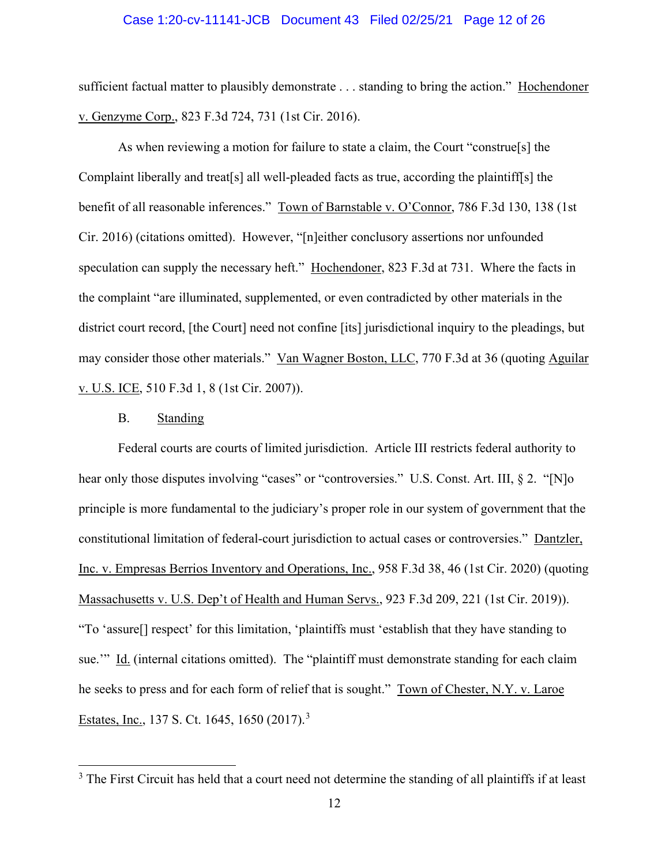#### Case 1:20-cv-11141-JCB Document 43 Filed 02/25/21 Page 12 of 26

sufficient factual matter to plausibly demonstrate . . . standing to bring the action." Hochendoner v. Genzyme Corp., 823 F.3d 724, 731 (1st Cir. 2016).

As when reviewing a motion for failure to state a claim, the Court "construe[s] the Complaint liberally and treat[s] all well-pleaded facts as true, according the plaintiff[s] the benefit of all reasonable inferences." Town of Barnstable v. O'Connor, 786 F.3d 130, 138 (1st Cir. 2016) (citations omitted). However, "[n]either conclusory assertions nor unfounded speculation can supply the necessary heft." Hochendoner, 823 F.3d at 731. Where the facts in the complaint "are illuminated, supplemented, or even contradicted by other materials in the district court record, [the Court] need not confine [its] jurisdictional inquiry to the pleadings, but may consider those other materials." Van Wagner Boston, LLC, 770 F.3d at 36 (quoting Aguilar v. U.S. ICE, 510 F.3d 1, 8 (1st Cir. 2007)).

#### B. Standing

Federal courts are courts of limited jurisdiction. Article III restricts federal authority to hear only those disputes involving "cases" or "controversies." U.S. Const. Art. III, § 2. "[N]o principle is more fundamental to the judiciary's proper role in our system of government that the constitutional limitation of federal-court jurisdiction to actual cases or controversies." Dantzler, Inc. v. Empresas Berrios Inventory and Operations, Inc., 958 F.3d 38, 46 (1st Cir. 2020) (quoting Massachusetts v. U.S. Dep't of Health and Human Servs., 923 F.3d 209, 221 (1st Cir. 2019)). "To 'assure[] respect' for this limitation, 'plaintiffs must 'establish that they have standing to sue.'" Id. (internal citations omitted). The "plaintiff must demonstrate standing for each claim he seeks to press and for each form of relief that is sought." Town of Chester, N.Y. v. Laroe Estates, Inc., 1[3](#page-11-0)7 S. Ct. 1645, 1650 (2017).<sup>3</sup>

<span id="page-11-0"></span><sup>&</sup>lt;sup>3</sup> The First Circuit has held that a court need not determine the standing of all plaintiffs if at least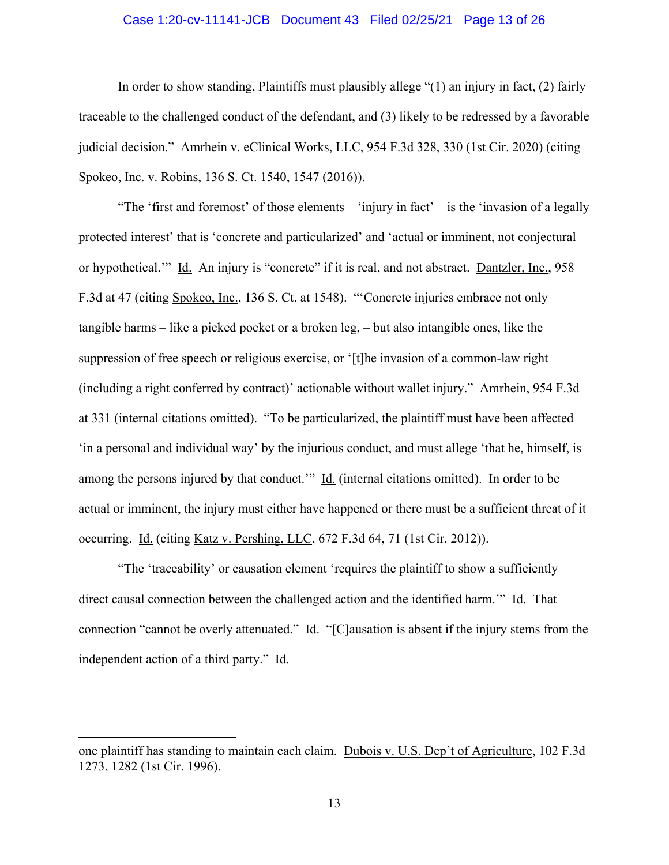### Case 1:20-cv-11141-JCB Document 43 Filed 02/25/21 Page 13 of 26

In order to show standing, Plaintiffs must plausibly allege "(1) an injury in fact, (2) fairly traceable to the challenged conduct of the defendant, and (3) likely to be redressed by a favorable judicial decision." Amrhein v. eClinical Works, LLC, 954 F.3d 328, 330 (1st Cir. 2020) (citing Spokeo, Inc. v. Robins, 136 S. Ct. 1540, 1547 (2016)).

"The 'first and foremost' of those elements—'injury in fact'—is the 'invasion of a legally protected interest' that is 'concrete and particularized' and 'actual or imminent, not conjectural or hypothetical.'" Id. An injury is "concrete" if it is real, and not abstract. Dantzler, Inc., 958 F.3d at 47 (citing Spokeo, Inc., 136 S. Ct. at 1548). "'Concrete injuries embrace not only tangible harms – like a picked pocket or a broken leg, – but also intangible ones, like the suppression of free speech or religious exercise, or '[t]he invasion of a common-law right (including a right conferred by contract)' actionable without wallet injury." Amrhein, 954 F.3d at 331 (internal citations omitted). "To be particularized, the plaintiff must have been affected 'in a personal and individual way' by the injurious conduct, and must allege 'that he, himself, is among the persons injured by that conduct." Id. (internal citations omitted). In order to be actual or imminent, the injury must either have happened or there must be a sufficient threat of it occurring. Id. (citing Katz v. Pershing, LLC, 672 F.3d 64, 71 (1st Cir. 2012)).

"The 'traceability' or causation element 'requires the plaintiff to show a sufficiently direct causal connection between the challenged action and the identified harm.'" Id. That connection "cannot be overly attenuated." Id. "[C]ausation is absent if the injury stems from the independent action of a third party." Id.

one plaintiff has standing to maintain each claim. Dubois v. U.S. Dep't of Agriculture, 102 F.3d 1273, 1282 (1st Cir. 1996).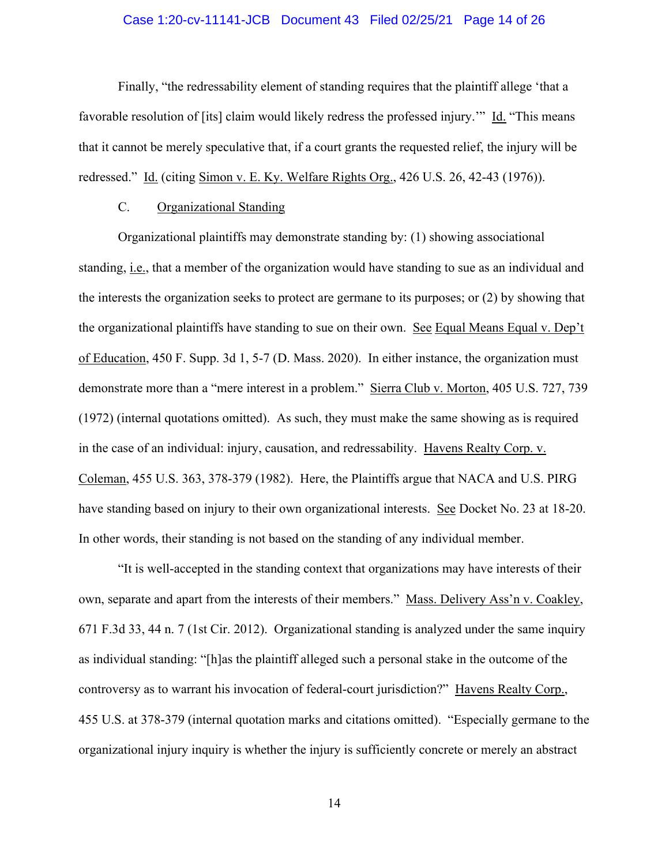### Case 1:20-cv-11141-JCB Document 43 Filed 02/25/21 Page 14 of 26

Finally, "the redressability element of standing requires that the plaintiff allege 'that a favorable resolution of [its] claim would likely redress the professed injury.'" Id. "This means that it cannot be merely speculative that, if a court grants the requested relief, the injury will be redressed." Id. (citing Simon v. E. Ky. Welfare Rights Org., 426 U.S. 26, 42-43 (1976)).

## C. Organizational Standing

Organizational plaintiffs may demonstrate standing by: (1) showing associational standing, i.e., that a member of the organization would have standing to sue as an individual and the interests the organization seeks to protect are germane to its purposes; or (2) by showing that the organizational plaintiffs have standing to sue on their own. See Equal Means Equal v. Dep't of Education, 450 F. Supp. 3d 1, 5-7 (D. Mass. 2020). In either instance, the organization must demonstrate more than a "mere interest in a problem." Sierra Club v. Morton, 405 U.S. 727, 739 (1972) (internal quotations omitted). As such, they must make the same showing as is required in the case of an individual: injury, causation, and redressability. Havens Realty Corp. v. Coleman, 455 U.S. 363, 378-379 (1982). Here, the Plaintiffs argue that NACA and U.S. PIRG have standing based on injury to their own organizational interests. See Docket No. 23 at 18-20. In other words, their standing is not based on the standing of any individual member.

"It is well-accepted in the standing context that organizations may have interests of their own, separate and apart from the interests of their members." Mass. Delivery Ass'n v. Coakley, 671 F.3d 33, 44 n. 7 (1st Cir. 2012). Organizational standing is analyzed under the same inquiry as individual standing: "[h]as the plaintiff alleged such a personal stake in the outcome of the controversy as to warrant his invocation of federal-court jurisdiction?" Havens Realty Corp., 455 U.S. at 378-379 (internal quotation marks and citations omitted). "Especially germane to the organizational injury inquiry is whether the injury is sufficiently concrete or merely an abstract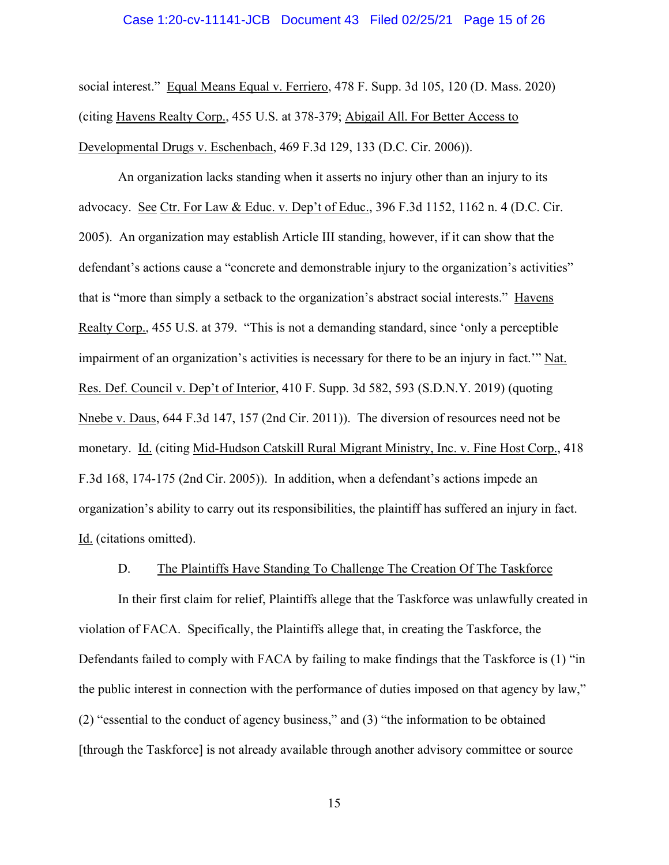#### Case 1:20-cv-11141-JCB Document 43 Filed 02/25/21 Page 15 of 26

social interest." Equal Means Equal v. Ferriero, 478 F. Supp. 3d 105, 120 (D. Mass. 2020) (citing Havens Realty Corp., 455 U.S. at 378-379; Abigail All. For Better Access to Developmental Drugs v. Eschenbach, 469 F.3d 129, 133 (D.C. Cir. 2006)).

An organization lacks standing when it asserts no injury other than an injury to its advocacy. See Ctr. For Law & Educ. v. Dep't of Educ., 396 F.3d 1152, 1162 n. 4 (D.C. Cir. 2005). An organization may establish Article III standing, however, if it can show that the defendant's actions cause a "concrete and demonstrable injury to the organization's activities" that is "more than simply a setback to the organization's abstract social interests." Havens Realty Corp., 455 U.S. at 379. "This is not a demanding standard, since 'only a perceptible impairment of an organization's activities is necessary for there to be an injury in fact.'" Nat. Res. Def. Council v. Dep't of Interior, 410 F. Supp. 3d 582, 593 (S.D.N.Y. 2019) (quoting Nnebe v. Daus, 644 F.3d 147, 157 (2nd Cir. 2011)). The diversion of resources need not be monetary. Id. (citing Mid-Hudson Catskill Rural Migrant Ministry, Inc. v. Fine Host Corp., 418 F.3d 168, 174-175 (2nd Cir. 2005)). In addition, when a defendant's actions impede an organization's ability to carry out its responsibilities, the plaintiff has suffered an injury in fact. Id. (citations omitted).

#### D. The Plaintiffs Have Standing To Challenge The Creation Of The Taskforce

In their first claim for relief, Plaintiffs allege that the Taskforce was unlawfully created in violation of FACA. Specifically, the Plaintiffs allege that, in creating the Taskforce, the Defendants failed to comply with FACA by failing to make findings that the Taskforce is (1) "in the public interest in connection with the performance of duties imposed on that agency by law," (2) "essential to the conduct of agency business," and (3) "the information to be obtained [through the Taskforce] is not already available through another advisory committee or source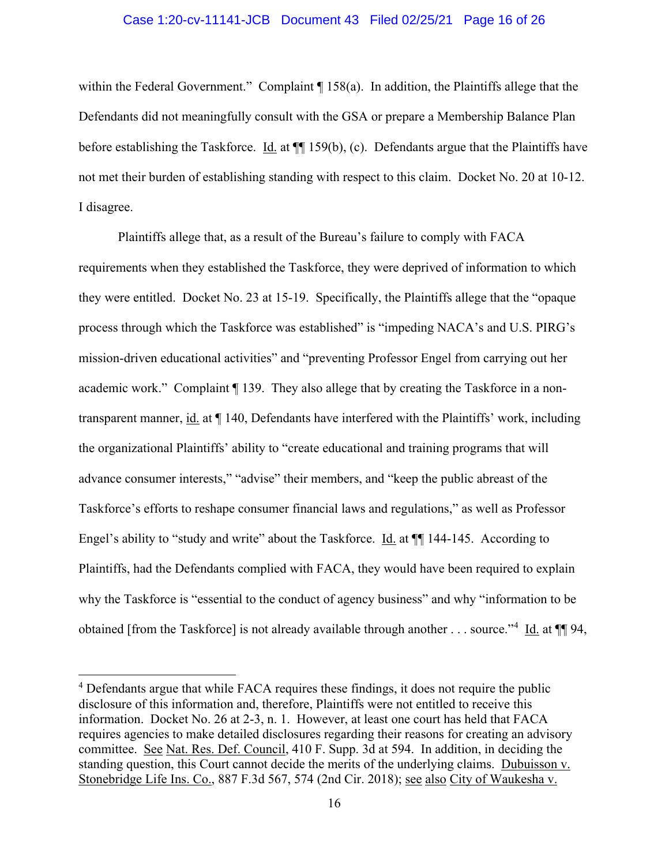### Case 1:20-cv-11141-JCB Document 43 Filed 02/25/21 Page 16 of 26

within the Federal Government." Complaint ¶ 158(a). In addition, the Plaintiffs allege that the Defendants did not meaningfully consult with the GSA or prepare a Membership Balance Plan before establishing the Taskforce. Id. at  $\P$  159(b), (c). Defendants argue that the Plaintiffs have not met their burden of establishing standing with respect to this claim. Docket No. 20 at 10-12. I disagree.

Plaintiffs allege that, as a result of the Bureau's failure to comply with FACA requirements when they established the Taskforce, they were deprived of information to which they were entitled. Docket No. 23 at 15-19. Specifically, the Plaintiffs allege that the "opaque process through which the Taskforce was established" is "impeding NACA's and U.S. PIRG's mission-driven educational activities" and "preventing Professor Engel from carrying out her academic work." Complaint ¶ 139. They also allege that by creating the Taskforce in a nontransparent manner, id. at  $\P$  140, Defendants have interfered with the Plaintiffs' work, including the organizational Plaintiffs' ability to "create educational and training programs that will advance consumer interests," "advise" their members, and "keep the public abreast of the Taskforce's efforts to reshape consumer financial laws and regulations," as well as Professor Engel's ability to "study and write" about the Taskforce. Id. at ¶¶ 144-145. According to Plaintiffs, had the Defendants complied with FACA, they would have been required to explain why the Taskforce is "essential to the conduct of agency business" and why "information to be obtained [from the Taskforce] is not already available through another . . . source."<sup>[4](#page-15-0)</sup> Id. at  $\P\P$ 94,

<span id="page-15-0"></span><sup>&</sup>lt;sup>4</sup> Defendants argue that while FACA requires these findings, it does not require the public disclosure of this information and, therefore, Plaintiffs were not entitled to receive this information. Docket No. 26 at 2-3, n. 1. However, at least one court has held that FACA requires agencies to make detailed disclosures regarding their reasons for creating an advisory committee. See Nat. Res. Def. Council, 410 F. Supp. 3d at 594. In addition, in deciding the standing question, this Court cannot decide the merits of the underlying claims. Dubuisson v. Stonebridge Life Ins. Co., 887 F.3d 567, 574 (2nd Cir. 2018); see also City of Waukesha v.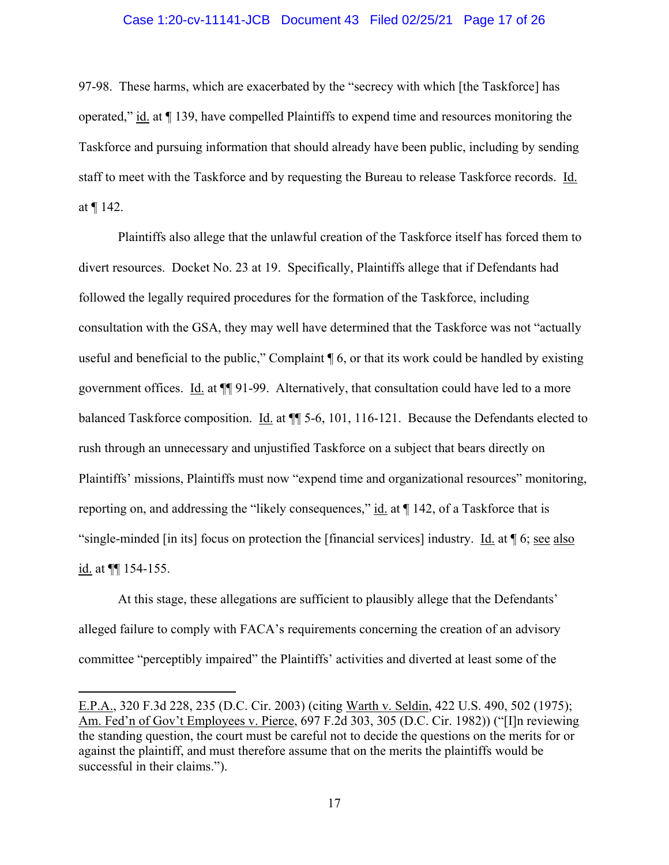### Case 1:20-cv-11141-JCB Document 43 Filed 02/25/21 Page 17 of 26

97-98. These harms, which are exacerbated by the "secrecy with which [the Taskforce] has operated," id. at ¶ 139, have compelled Plaintiffs to expend time and resources monitoring the Taskforce and pursuing information that should already have been public, including by sending staff to meet with the Taskforce and by requesting the Bureau to release Taskforce records. Id. at ¶ 142.

Plaintiffs also allege that the unlawful creation of the Taskforce itself has forced them to divert resources. Docket No. 23 at 19. Specifically, Plaintiffs allege that if Defendants had followed the legally required procedures for the formation of the Taskforce, including consultation with the GSA, they may well have determined that the Taskforce was not "actually useful and beneficial to the public," Complaint ¶ 6, or that its work could be handled by existing government offices. Id. at  $\P$  91-99. Alternatively, that consultation could have led to a more balanced Taskforce composition. Id. at  $\P$  5-6, 101, 116-121. Because the Defendants elected to rush through an unnecessary and unjustified Taskforce on a subject that bears directly on Plaintiffs' missions, Plaintiffs must now "expend time and organizational resources" monitoring, reporting on, and addressing the "likely consequences,"  $id$  at  $\P$  142, of a Taskforce that is "single-minded [in its] focus on protection the [financial services] industry. Id. at ¶ 6; see also id. at  $\P$  154-155.

At this stage, these allegations are sufficient to plausibly allege that the Defendants' alleged failure to comply with FACA's requirements concerning the creation of an advisory committee "perceptibly impaired" the Plaintiffs' activities and diverted at least some of the

E.P.A., 320 F.3d 228, 235 (D.C. Cir. 2003) (citing Warth v. Seldin, 422 U.S. 490, 502 (1975); Am. Fed'n of Gov't Employees v. Pierce, 697 F.2d 303, 305 (D.C. Cir. 1982)) ("[I]n reviewing the standing question, the court must be careful not to decide the questions on the merits for or against the plaintiff, and must therefore assume that on the merits the plaintiffs would be successful in their claims.").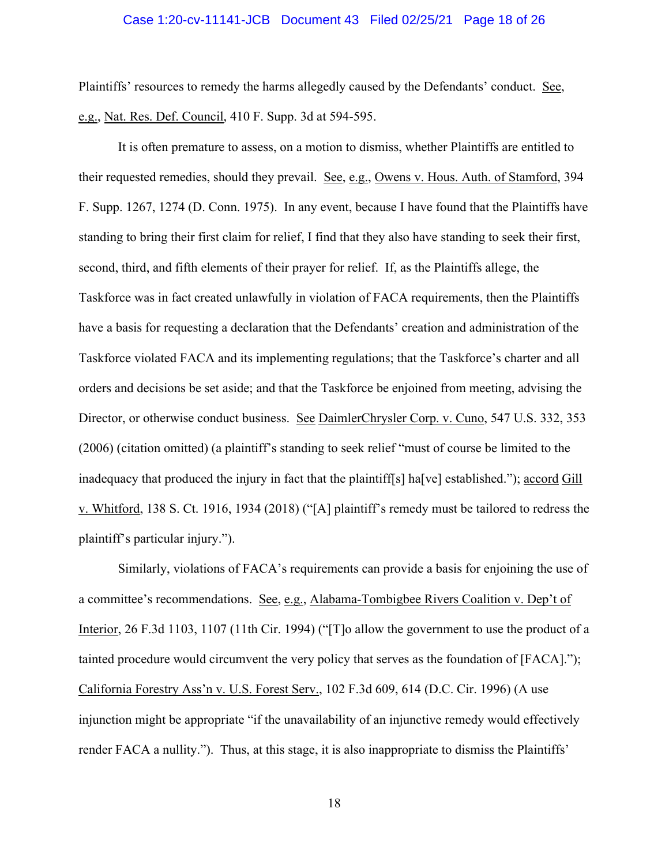#### Case 1:20-cv-11141-JCB Document 43 Filed 02/25/21 Page 18 of 26

Plaintiffs' resources to remedy the harms allegedly caused by the Defendants' conduct. See, e.g., Nat. Res. Def. Council, 410 F. Supp. 3d at 594-595.

It is often premature to assess, on a motion to dismiss, whether Plaintiffs are entitled to their requested remedies, should they prevail. See, e.g., Owens v. Hous. Auth. of Stamford, 394 F. Supp. 1267, 1274 (D. Conn. 1975). In any event, because I have found that the Plaintiffs have standing to bring their first claim for relief, I find that they also have standing to seek their first, second, third, and fifth elements of their prayer for relief. If, as the Plaintiffs allege, the Taskforce was in fact created unlawfully in violation of FACA requirements, then the Plaintiffs have a basis for requesting a declaration that the Defendants' creation and administration of the Taskforce violated FACA and its implementing regulations; that the Taskforce's charter and all orders and decisions be set aside; and that the Taskforce be enjoined from meeting, advising the Director, or otherwise conduct business. See DaimlerChrysler Corp. v. Cuno, 547 U.S. 332, 353 (2006) (citation omitted) (a plaintiff's standing to seek relief "must of course be limited to the inadequacy that produced the injury in fact that the plaintiff[s] ha[ve] established."); accord Gill v. Whitford, 138 S. Ct. 1916, 1934 (2018) ("[A] plaintiff's remedy must be tailored to redress the plaintiff's particular injury.").

Similarly, violations of FACA's requirements can provide a basis for enjoining the use of a committee's recommendations. See, e.g., Alabama-Tombigbee Rivers Coalition v. Dep't of Interior, 26 F.3d 1103, 1107 (11th Cir. 1994) ("[T]o allow the government to use the product of a tainted procedure would circumvent the very policy that serves as the foundation of [FACA]."); California Forestry Ass'n v. U.S. Forest Serv., 102 F.3d 609, 614 (D.C. Cir. 1996) (A use injunction might be appropriate "if the unavailability of an injunctive remedy would effectively render FACA a nullity."). Thus, at this stage, it is also inappropriate to dismiss the Plaintiffs'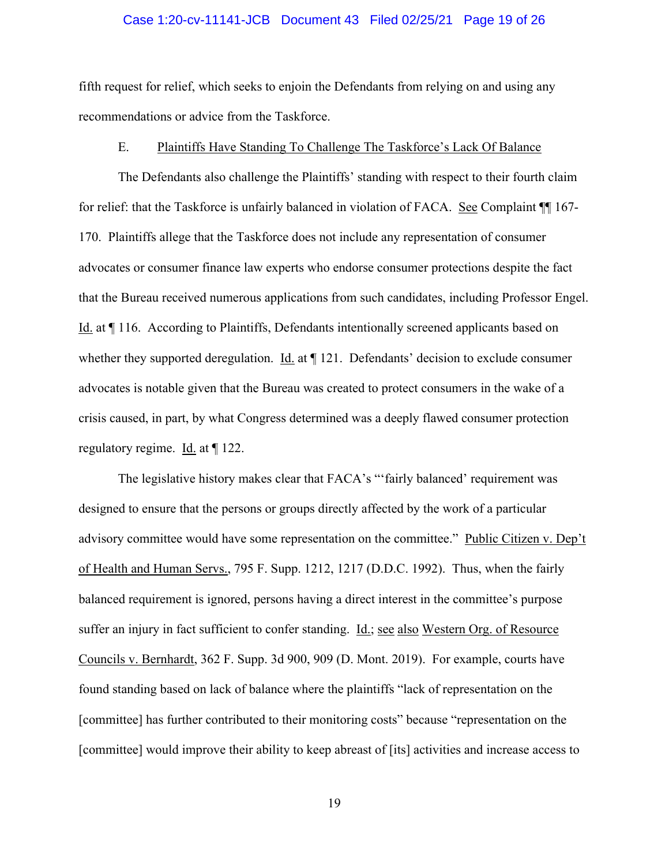#### Case 1:20-cv-11141-JCB Document 43 Filed 02/25/21 Page 19 of 26

fifth request for relief, which seeks to enjoin the Defendants from relying on and using any recommendations or advice from the Taskforce.

#### E. Plaintiffs Have Standing To Challenge The Taskforce's Lack Of Balance

The Defendants also challenge the Plaintiffs' standing with respect to their fourth claim for relief: that the Taskforce is unfairly balanced in violation of FACA. See Complaint ¶¶ 167- 170. Plaintiffs allege that the Taskforce does not include any representation of consumer advocates or consumer finance law experts who endorse consumer protections despite the fact that the Bureau received numerous applications from such candidates, including Professor Engel. Id. at ¶ 116. According to Plaintiffs, Defendants intentionally screened applicants based on whether they supported deregulation. Id. at  $\P$  121. Defendants' decision to exclude consumer advocates is notable given that the Bureau was created to protect consumers in the wake of a crisis caused, in part, by what Congress determined was a deeply flawed consumer protection regulatory regime. Id. at ¶ 122.

The legislative history makes clear that FACA's "'fairly balanced' requirement was designed to ensure that the persons or groups directly affected by the work of a particular advisory committee would have some representation on the committee." Public Citizen v. Dep't of Health and Human Servs., 795 F. Supp. 1212, 1217 (D.D.C. 1992). Thus, when the fairly balanced requirement is ignored, persons having a direct interest in the committee's purpose suffer an injury in fact sufficient to confer standing. Id.; see also Western Org. of Resource Councils v. Bernhardt, 362 F. Supp. 3d 900, 909 (D. Mont. 2019). For example, courts have found standing based on lack of balance where the plaintiffs "lack of representation on the [committee] has further contributed to their monitoring costs" because "representation on the [committee] would improve their ability to keep abreast of [its] activities and increase access to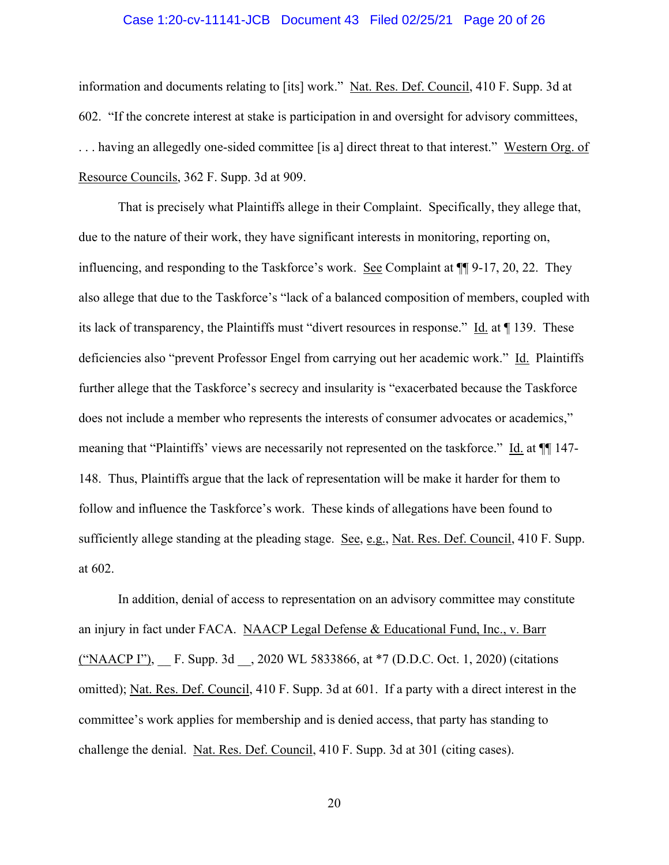#### Case 1:20-cv-11141-JCB Document 43 Filed 02/25/21 Page 20 of 26

information and documents relating to [its] work." Nat. Res. Def. Council, 410 F. Supp. 3d at 602. "If the concrete interest at stake is participation in and oversight for advisory committees, . . . having an allegedly one-sided committee [is a] direct threat to that interest." Western Org. of Resource Councils, 362 F. Supp. 3d at 909.

That is precisely what Plaintiffs allege in their Complaint. Specifically, they allege that, due to the nature of their work, they have significant interests in monitoring, reporting on, influencing, and responding to the Taskforce's work. See Complaint at ¶¶ 9-17, 20, 22. They also allege that due to the Taskforce's "lack of a balanced composition of members, coupled with its lack of transparency, the Plaintiffs must "divert resources in response." Id. at ¶ 139. These deficiencies also "prevent Professor Engel from carrying out her academic work." Id. Plaintiffs further allege that the Taskforce's secrecy and insularity is "exacerbated because the Taskforce does not include a member who represents the interests of consumer advocates or academics," meaning that "Plaintiffs' views are necessarily not represented on the taskforce." Id. at  $\P$  147-148. Thus, Plaintiffs argue that the lack of representation will be make it harder for them to follow and influence the Taskforce's work. These kinds of allegations have been found to sufficiently allege standing at the pleading stage. See, e.g., Nat. Res. Def. Council, 410 F. Supp. at 602.

In addition, denial of access to representation on an advisory committee may constitute an injury in fact under FACA. NAACP Legal Defense & Educational Fund, Inc., v. Barr ("NAACP I"), F. Supp. 3d, 2020 WL 5833866, at \*7 (D.D.C. Oct. 1, 2020) (citations omitted); Nat. Res. Def. Council, 410 F. Supp. 3d at 601. If a party with a direct interest in the committee's work applies for membership and is denied access, that party has standing to challenge the denial. Nat. Res. Def. Council, 410 F. Supp. 3d at 301 (citing cases).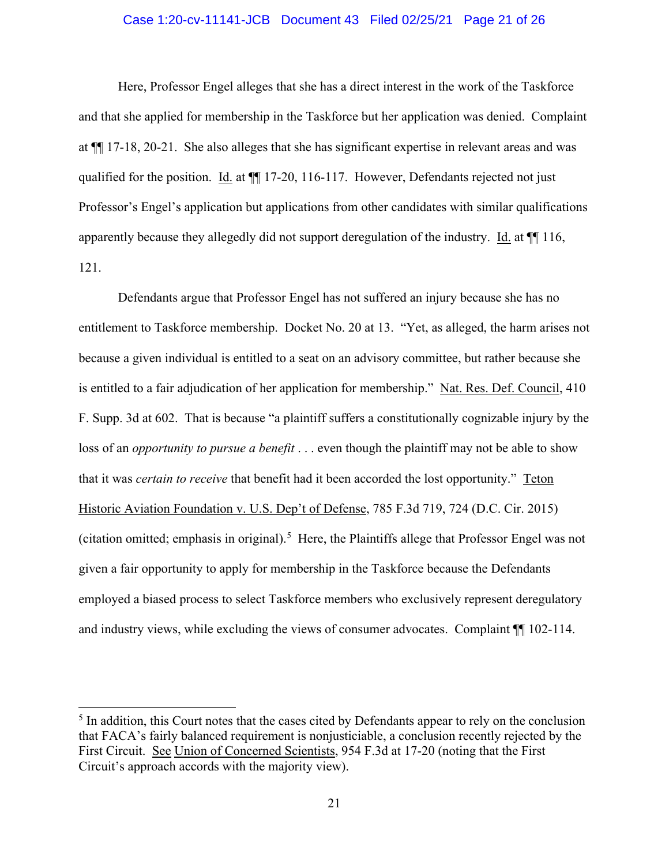## Case 1:20-cv-11141-JCB Document 43 Filed 02/25/21 Page 21 of 26

Here, Professor Engel alleges that she has a direct interest in the work of the Taskforce and that she applied for membership in the Taskforce but her application was denied. Complaint at ¶¶ 17-18, 20-21. She also alleges that she has significant expertise in relevant areas and was qualified for the position. Id. at  $\P$  17-20, 116-117. However, Defendants rejected not just Professor's Engel's application but applications from other candidates with similar qualifications apparently because they allegedly did not support deregulation of the industry. Id. at ¶¶ 116, 121.

Defendants argue that Professor Engel has not suffered an injury because she has no entitlement to Taskforce membership. Docket No. 20 at 13. "Yet, as alleged, the harm arises not because a given individual is entitled to a seat on an advisory committee, but rather because she is entitled to a fair adjudication of her application for membership." Nat. Res. Def. Council, 410 F. Supp. 3d at 602. That is because "a plaintiff suffers a constitutionally cognizable injury by the loss of an *opportunity to pursue a benefit* . . . even though the plaintiff may not be able to show that it was *certain to receive* that benefit had it been accorded the lost opportunity." Teton Historic Aviation Foundation v. U.S. Dep't of Defense, 785 F.3d 719, 724 (D.C. Cir. 2015) (citation omitted; emphasis in original).<sup>[5](#page-20-0)</sup> Here, the Plaintiffs allege that Professor Engel was not given a fair opportunity to apply for membership in the Taskforce because the Defendants employed a biased process to select Taskforce members who exclusively represent deregulatory and industry views, while excluding the views of consumer advocates. Complaint ¶¶ 102-114.

<span id="page-20-0"></span><sup>&</sup>lt;sup>5</sup> In addition, this Court notes that the cases cited by Defendants appear to rely on the conclusion that FACA's fairly balanced requirement is nonjusticiable, a conclusion recently rejected by the First Circuit. See Union of Concerned Scientists, 954 F.3d at 17-20 (noting that the First Circuit's approach accords with the majority view).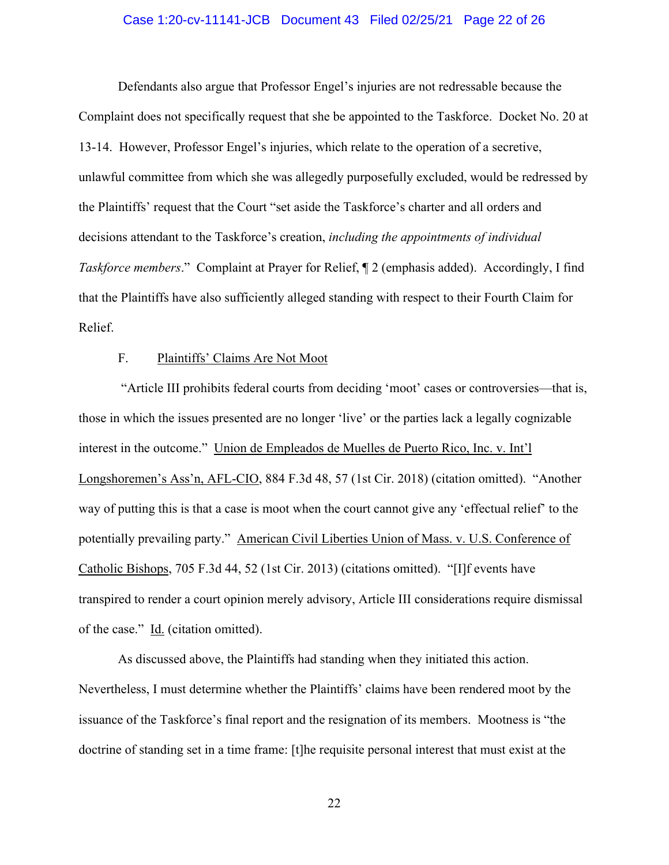#### Case 1:20-cv-11141-JCB Document 43 Filed 02/25/21 Page 22 of 26

Defendants also argue that Professor Engel's injuries are not redressable because the Complaint does not specifically request that she be appointed to the Taskforce. Docket No. 20 at 13-14. However, Professor Engel's injuries, which relate to the operation of a secretive, unlawful committee from which she was allegedly purposefully excluded, would be redressed by the Plaintiffs' request that the Court "set aside the Taskforce's charter and all orders and decisions attendant to the Taskforce's creation, *including the appointments of individual Taskforce members*." Complaint at Prayer for Relief, ¶ 2 (emphasis added). Accordingly, I find that the Plaintiffs have also sufficiently alleged standing with respect to their Fourth Claim for Relief.

## F. Plaintiffs' Claims Are Not Moot

"Article III prohibits federal courts from deciding 'moot' cases or controversies—that is, those in which the issues presented are no longer 'live' or the parties lack a legally cognizable interest in the outcome." Union de Empleados de Muelles de Puerto Rico, Inc. v. Int'l Longshoremen's Ass'n, AFL-CIO, 884 F.3d 48, 57 (1st Cir. 2018) (citation omitted). "Another way of putting this is that a case is moot when the court cannot give any 'effectual relief' to the potentially prevailing party." American Civil Liberties Union of Mass. v. U.S. Conference of Catholic Bishops, 705 F.3d 44, 52 (1st Cir. 2013) (citations omitted). "[I]f events have transpired to render a court opinion merely advisory, Article III considerations require dismissal of the case." Id. (citation omitted).

As discussed above, the Plaintiffs had standing when they initiated this action. Nevertheless, I must determine whether the Plaintiffs' claims have been rendered moot by the issuance of the Taskforce's final report and the resignation of its members. Mootness is "the doctrine of standing set in a time frame: [t]he requisite personal interest that must exist at the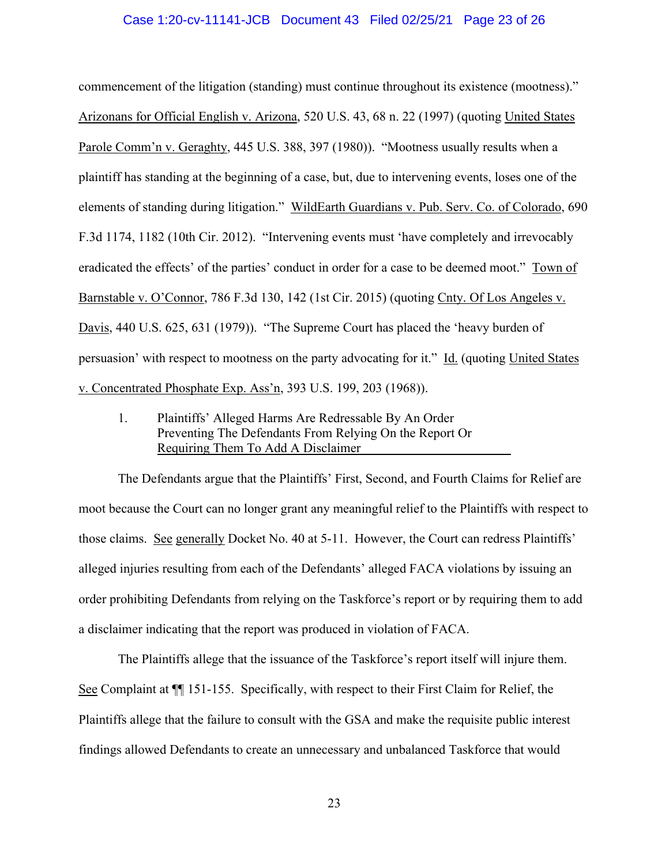#### Case 1:20-cv-11141-JCB Document 43 Filed 02/25/21 Page 23 of 26

commencement of the litigation (standing) must continue throughout its existence (mootness)." Arizonans for Official English v. Arizona, 520 U.S. 43, 68 n. 22 (1997) (quoting United States Parole Comm'n v. Geraghty, 445 U.S. 388, 397 (1980)). "Mootness usually results when a plaintiff has standing at the beginning of a case, but, due to intervening events, loses one of the elements of standing during litigation." WildEarth Guardians v. Pub. Serv. Co. of Colorado, 690 F.3d 1174, 1182 (10th Cir. 2012). "Intervening events must 'have completely and irrevocably eradicated the effects' of the parties' conduct in order for a case to be deemed moot." Town of Barnstable v. O'Connor, 786 F.3d 130, 142 (1st Cir. 2015) (quoting Cnty. Of Los Angeles v. Davis, 440 U.S. 625, 631 (1979)). "The Supreme Court has placed the 'heavy burden of persuasion' with respect to mootness on the party advocating for it." Id. (quoting United States v. Concentrated Phosphate Exp. Ass'n, 393 U.S. 199, 203 (1968)).

1. Plaintiffs' Alleged Harms Are Redressable By An Order Preventing The Defendants From Relying On the Report Or Requiring Them To Add A Disclaimer

The Defendants argue that the Plaintiffs' First, Second, and Fourth Claims for Relief are moot because the Court can no longer grant any meaningful relief to the Plaintiffs with respect to those claims. See generally Docket No. 40 at 5-11. However, the Court can redress Plaintiffs' alleged injuries resulting from each of the Defendants' alleged FACA violations by issuing an order prohibiting Defendants from relying on the Taskforce's report or by requiring them to add a disclaimer indicating that the report was produced in violation of FACA.

The Plaintiffs allege that the issuance of the Taskforce's report itself will injure them. See Complaint at ¶¶ 151-155. Specifically, with respect to their First Claim for Relief, the Plaintiffs allege that the failure to consult with the GSA and make the requisite public interest findings allowed Defendants to create an unnecessary and unbalanced Taskforce that would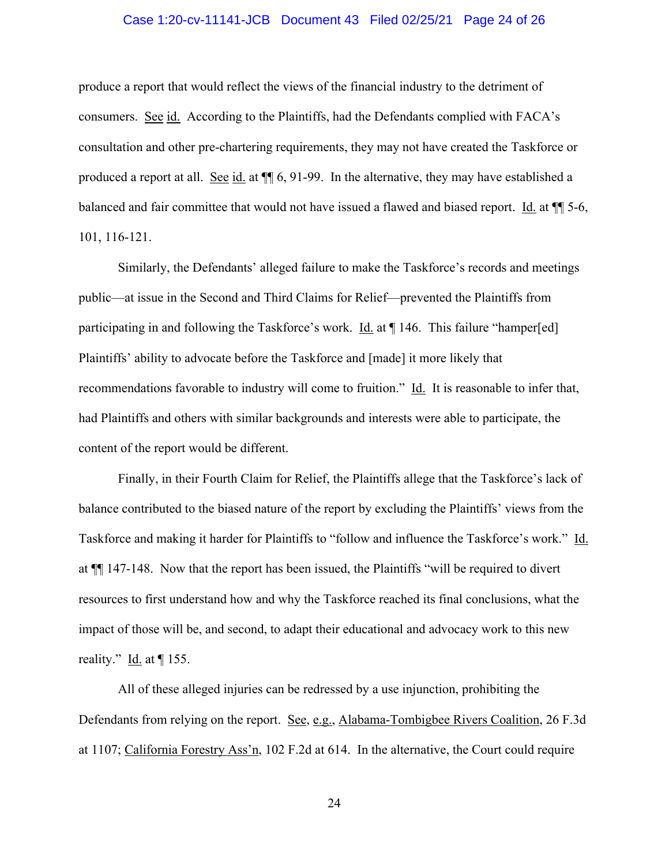### Case 1:20-cv-11141-JCB Document 43 Filed 02/25/21 Page 24 of 26

produce a report that would reflect the views of the financial industry to the detriment of consumers. See id. According to the Plaintiffs, had the Defendants complied with FACA's consultation and other pre-chartering requirements, they may not have created the Taskforce or produced a report at all. See id. at ¶¶ 6, 91-99. In the alternative, they may have established a balanced and fair committee that would not have issued a flawed and biased report. Id. at ¶¶ 5-6, 101, 116-121.

Similarly, the Defendants' alleged failure to make the Taskforce's records and meetings public—at issue in the Second and Third Claims for Relief—prevented the Plaintiffs from participating in and following the Taskforce's work. Id. at ¶ 146. This failure "hamper[ed] Plaintiffs' ability to advocate before the Taskforce and [made] it more likely that recommendations favorable to industry will come to fruition." Id. It is reasonable to infer that, had Plaintiffs and others with similar backgrounds and interests were able to participate, the content of the report would be different.

Finally, in their Fourth Claim for Relief, the Plaintiffs allege that the Taskforce's lack of balance contributed to the biased nature of the report by excluding the Plaintiffs' views from the Taskforce and making it harder for Plaintiffs to "follow and influence the Taskforce's work." Id. at ¶¶ 147-148. Now that the report has been issued, the Plaintiffs "will be required to divert resources to first understand how and why the Taskforce reached its final conclusions, what the impact of those will be, and second, to adapt their educational and advocacy work to this new reality." Id. at  $\P$  155.

All of these alleged injuries can be redressed by a use injunction, prohibiting the Defendants from relying on the report. See, e.g., Alabama-Tombigbee Rivers Coalition, 26 F.3d at 1107; California Forestry Ass'n, 102 F.2d at 614. In the alternative, the Court could require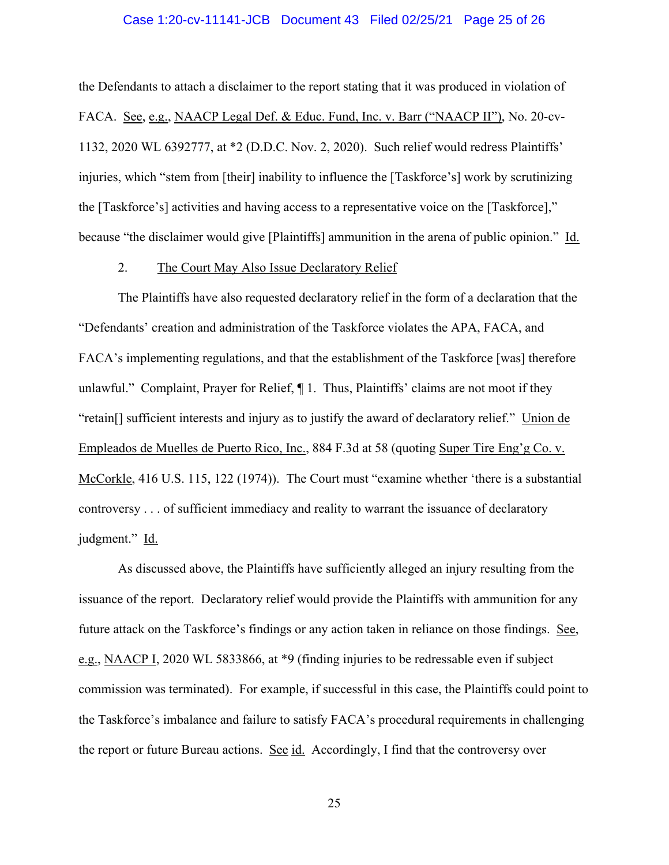#### Case 1:20-cv-11141-JCB Document 43 Filed 02/25/21 Page 25 of 26

the Defendants to attach a disclaimer to the report stating that it was produced in violation of FACA. See, e.g., NAACP Legal Def. & Educ. Fund, Inc. v. Barr ("NAACP II"), No. 20-cv-1132, 2020 WL 6392777, at \*2 (D.D.C. Nov. 2, 2020). Such relief would redress Plaintiffs' injuries, which "stem from [their] inability to influence the [Taskforce's] work by scrutinizing the [Taskforce's] activities and having access to a representative voice on the [Taskforce]," because "the disclaimer would give [Plaintiffs] ammunition in the arena of public opinion." Id.

#### 2. The Court May Also Issue Declaratory Relief

The Plaintiffs have also requested declaratory relief in the form of a declaration that the "Defendants' creation and administration of the Taskforce violates the APA, FACA, and FACA's implementing regulations, and that the establishment of the Taskforce [was] therefore unlawful." Complaint, Prayer for Relief, ¶ 1. Thus, Plaintiffs' claims are not moot if they "retain[] sufficient interests and injury as to justify the award of declaratory relief." Union de Empleados de Muelles de Puerto Rico, Inc., 884 F.3d at 58 (quoting Super Tire Eng'g Co. v. McCorkle, 416 U.S. 115, 122 (1974)). The Court must "examine whether 'there is a substantial controversy . . . of sufficient immediacy and reality to warrant the issuance of declaratory judgment." Id.

As discussed above, the Plaintiffs have sufficiently alleged an injury resulting from the issuance of the report. Declaratory relief would provide the Plaintiffs with ammunition for any future attack on the Taskforce's findings or any action taken in reliance on those findings. See, e.g., NAACP I, 2020 WL 5833866, at \*9 (finding injuries to be redressable even if subject commission was terminated). For example, if successful in this case, the Plaintiffs could point to the Taskforce's imbalance and failure to satisfy FACA's procedural requirements in challenging the report or future Bureau actions. See id. Accordingly, I find that the controversy over